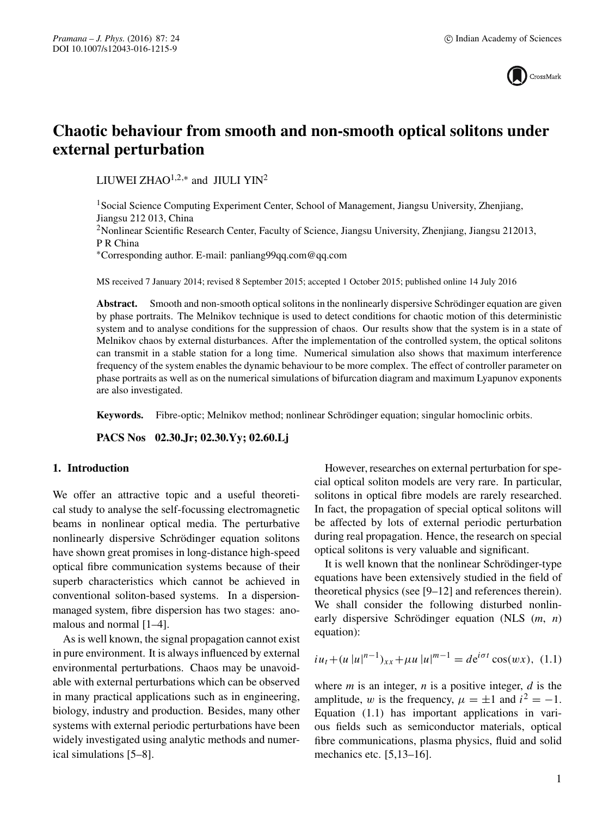

# **Chaotic behaviour from smooth and non-smooth optical solitons under external perturbation**

LIUWEI ZHAO<sup>1,2,\*</sup> and JIULI YIN<sup>2</sup>

1Social Science Computing Experiment Center, School of Management, Jiangsu University, Zhenjiang, Jiangsu 212 013, China <sup>2</sup>Nonlinear Scientific Research Center, Faculty of Science, Jiangsu University, Zhenjiang, Jiangsu 212013, P R China ∗Corresponding author. E-mail: panliang99qq.com@qq.com

MS received 7 January 2014; revised 8 September 2015; accepted 1 October 2015; published online 14 July 2016

**Abstract.** Smooth and non-smooth optical solitons in the nonlinearly dispersive Schrödinger equation are given by phase portraits. The Melnikov technique is used to detect conditions for chaotic motion of this deterministic system and to analyse conditions for the suppression of chaos. Our results show that the system is in a state of Melnikov chaos by external disturbances. After the implementation of the controlled system, the optical solitons can transmit in a stable station for a long time. Numerical simulation also shows that maximum interference frequency of the system enables the dynamic behaviour to be more complex. The effect of controller parameter on phase portraits as well as on the numerical simulations of bifurcation diagram and maximum Lyapunov exponents are also investigated.

**Keywords.** Fibre-optic; Melnikov method; nonlinear Schrödinger equation; singular homoclinic orbits.

**PACS Nos 02.30.Jr; 02.30.Yy; 02.60.Lj**

# **1. Introduction**

We offer an attractive topic and a useful theoretical study to analyse the self-focussing electromagnetic beams in nonlinear optical media. The perturbative nonlinearly dispersive Schrödinger equation solitons have shown great promises in long-distance high-speed optical fibre communication systems because of their superb characteristics which cannot be achieved in conventional soliton-based systems. In a dispersionmanaged system, fibre dispersion has two stages: anomalous and normal [1–4].

As is well known, the signal propagation cannot exist in pure environment. It is always influenced by external environmental perturbations. Chaos may be unavoidable with external perturbations which can be observed in many practical applications such as in engineering, biology, industry and production. Besides, many other systems with external periodic perturbations have been widely investigated using analytic methods and numerical simulations [5–8].

However, researches on external perturbation for special optical soliton models are very rare. In particular, solitons in optical fibre models are rarely researched. In fact, the propagation of special optical solitons will be affected by lots of external periodic perturbation during real propagation. Hence, the research on special optical solitons is very valuable and significant.

It is well known that the nonlinear Schrödinger-type equations have been extensively studied in the field of theoretical physics (see [9–12] and references therein). We shall consider the following disturbed nonlinearly dispersive Schrödinger equation (NLS (*m*, *n*) equation):

$$
i u_t + (u |u|^{n-1})_{xx} + \mu u |u|^{m-1} = d e^{i\sigma t} \cos(wx), \tag{1.1}
$$

where *m* is an integer, *n* is a positive integer, *d* is the amplitude, w is the frequency,  $\mu = \pm 1$  and  $i^2 = -1$ . Equation (1.1) has important applications in various fields such as semiconductor materials, optical fibre communications, plasma physics, fluid and solid mechanics etc. [5,13-16].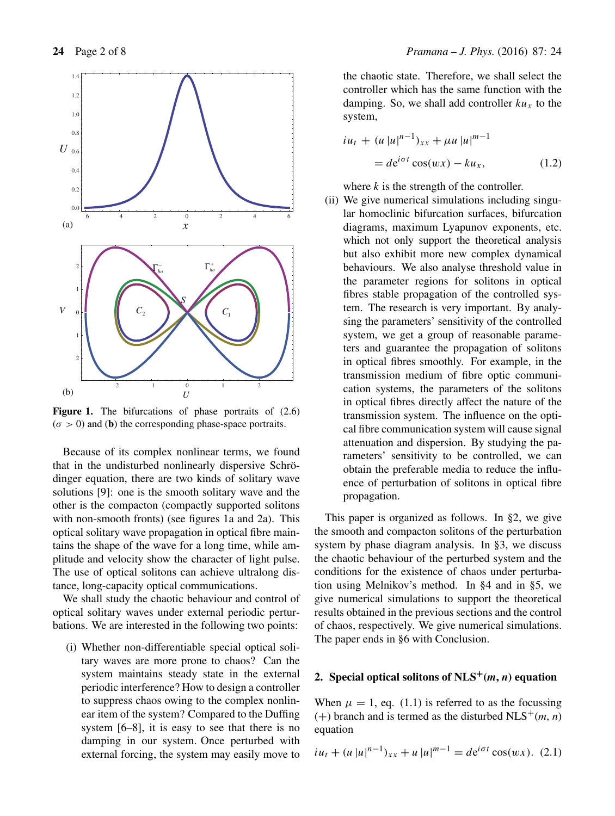

Figure 1. The bifurcations of phase portraits of  $(2.6)$  $(\sigma > 0)$  and (**b**) the corresponding phase-space portraits.

Because of its complex nonlinear terms, we found that in the undisturbed nonlinearly dispersive Schrödinger equation, there are two kinds of solitary wave solutions [9]: one is the smooth solitary wave and the other is the compacton (compactly supported solitons with non-smooth fronts) (see figures 1a and 2a). This optical solitary wave propagation in optical fibre maintains the shape of the wave for a long time, while amplitude and velocity show the character of light pulse. The use of optical solitons can achieve ultralong distance, long-capacity optical communications.

We shall study the chaotic behaviour and control of optical solitary waves under external periodic perturbations. We are interested in the following two points:

(i) Whether non-differentiable special optical solitary waves are more prone to chaos? Can the system maintains steady state in the external periodic interference? How to design a controller to suppress chaos owing to the complex nonlinear item of the system? Compared to the Duffing system [6–8], it is easy to see that there is no damping in our system. Once perturbed with external forcing, the system may easily move to the chaotic state. Therefore, we shall select the controller which has the same function with the damping. So, we shall add controller  $ku_x$  to the system,

$$
iu_{t} + (u |u|^{n-1})_{xx} + \mu u |u|^{m-1}
$$
  
=  $de^{i\sigma t} \cos(wx) - ku_{x},$  (1.2)

where  $k$  is the strength of the controller.

(ii) We give numerical simulations including singular homoclinic bifurcation surfaces, bifurcation diagrams, maximum Lyapunov exponents, etc. which not only support the theoretical analysis but also exhibit more new complex dynamical behaviours. We also analyse threshold value in the parameter regions for solitons in optical fibres stable propagation of the controlled system. The research is very important. By analysing the parameters' sensitivity of the controlled system, we get a group of reasonable parameters and guarantee the propagation of solitons in optical fibres smoothly. For example, in the transmission medium of fibre optic communication systems, the parameters of the solitons in optical fibres directly affect the nature of the transmission system. The influence on the optical fibre communication system will cause signal attenuation and dispersion. By studying the parameters' sensitivity to be controlled, we can obtain the preferable media to reduce the influence of perturbation of solitons in optical fibre propagation.

This paper is organized as follows. In §2, we give the smooth and compacton solitons of the perturbation system by phase diagram analysis. In §3, we discuss the chaotic behaviour of the perturbed system and the conditions for the existence of chaos under perturbation using Melnikov's method. In §4 and in §5, we give numerical simulations to support the theoretical results obtained in the previous sections and the control of chaos, respectively. We give numerical simulations. The paper ends in §6 with Conclusion.

# 2. Special optical solitons of  $NLS^+(m, n)$  equation

When  $\mu = 1$ , eq. (1.1) is referred to as the focussing (+) branch and is termed as the disturbed  $NLS^{+}(m, n)$ equation

$$
iu_t + (u |u|^{n-1})_{xx} + u |u|^{n-1} = de^{i\sigma t} \cos(wx). (2.1)
$$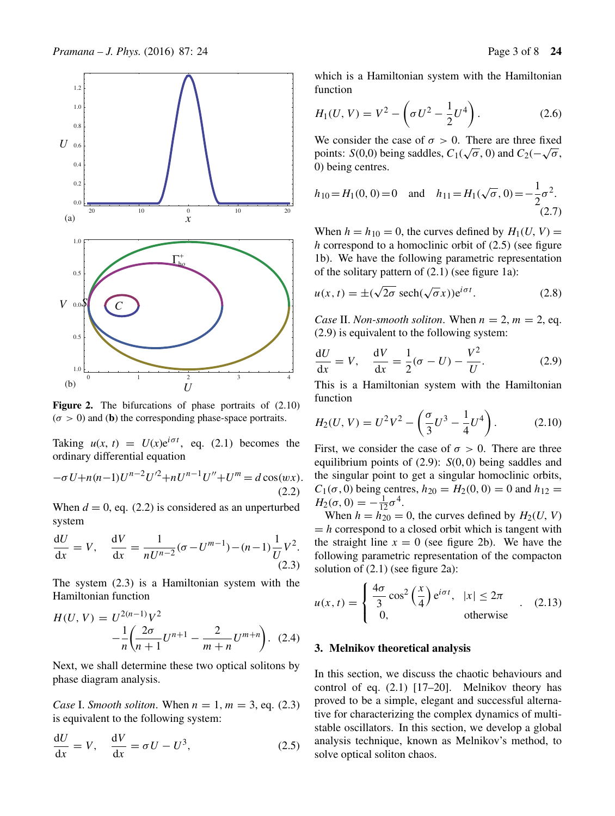

**Figure 2.** The bifurcations of phase portraits of (2.10)  $(\sigma > 0)$  and (**b**) the corresponding phase-space portraits.

Taking  $u(x, t) = U(x)e^{i\sigma t}$ , eq. (2.1) becomes the ordinary differential equation

$$
-\sigma U + n(n-1)U^{n-2}U^{2} + nU^{n-1}U'' + U^{m} = d\cos(wx).
$$
\n(2.2)

When  $d = 0$ , eq. (2.2) is considered as an unperturbed system

$$
\frac{dU}{dx} = V, \quad \frac{dV}{dx} = \frac{1}{nU^{n-2}}(\sigma - U^{m-1}) - (n-1)\frac{1}{U}V^2.
$$
\n(2.3)

The system (2.3) is a Hamiltonian system with the Hamiltonian function

$$
H(U, V) = U^{2(n-1)}V^{2}
$$

$$
-\frac{1}{n}\left(\frac{2\sigma}{n+1}U^{n+1} - \frac{2}{m+n}U^{m+n}\right). (2.4)
$$

Next, we shall determine these two optical solitons by phase diagram analysis.

*Case* I. *Smooth soliton*. When  $n = 1$ ,  $m = 3$ , eq. (2.3) is equivalent to the following system:

$$
\frac{dU}{dx} = V, \quad \frac{dV}{dx} = \sigma U - U^3,
$$
\n(2.5)

which is a Hamiltonian system with the Hamiltonian function

$$
H_1(U, V) = V^2 - \left(\sigma U^2 - \frac{1}{2}U^4\right).
$$
 (2.6)

We consider the case of  $\sigma > 0$ . There are three fixed points:  $S(0,0)$  being saddles,  $C_1(\sqrt{\sigma}, 0)$  and  $C_2(-\sqrt{\sigma}, 0)$ 0) being centres.

$$
h_{10} = H_1(0, 0) = 0
$$
 and  $h_{11} = H_1(\sqrt{\sigma}, 0) = -\frac{1}{2}\sigma^2$ . (2.7)

When  $h = h_{10} = 0$ , the curves defined by  $H_1(U, V) =$ *h* correspond to a homoclinic orbit of (2.5) (see figure 1b). We have the following parametric representation of the solitary pattern of  $(2.1)$  (see figure 1a):

$$
u(x,t) = \pm(\sqrt{2\sigma} \ \text{sech}(\sqrt{\sigma}x))e^{i\sigma t}.
$$
 (2.8)

*Case* II. *Non-smooth soliton*. When  $n = 2$ ,  $m = 2$ , eq. (2.9) is equivalent to the following system:

$$
\frac{\mathrm{d}U}{\mathrm{d}x} = V, \quad \frac{\mathrm{d}V}{\mathrm{d}x} = \frac{1}{2}(\sigma - U) - \frac{V^2}{U}.\tag{2.9}
$$

This is a Hamiltonian system with the Hamiltonian function

$$
H_2(U, V) = U^2 V^2 - \left(\frac{\sigma}{3} U^3 - \frac{1}{4} U^4\right).
$$
 (2.10)

First, we consider the case of  $\sigma > 0$ . There are three equilibrium points of (2.9): *S*(0, 0) being saddles and the singular point to get a singular homoclinic orbits,  $C_1(\sigma, 0)$  being centres,  $h_{20} = H_2(0, 0) = 0$  and  $h_{12} =$  $H_2(\sigma, 0) = -\frac{1}{12}\sigma^4$ .

When  $h = h_{20} = 0$ , the curves defined by  $H_2(U, V)$  $= h$  correspond to a closed orbit which is tangent with the straight line  $x = 0$  (see figure 2b). We have the following parametric representation of the compacton solution of (2.1) (see figure 2a):

$$
u(x,t) = \begin{cases} \frac{4\sigma}{3}\cos^2\left(\frac{x}{4}\right)e^{i\sigma t}, & |x| \le 2\pi \\ 0, & \text{otherwise} \end{cases}
$$
 (2.13)

#### **3. Melnikov theoretical analysis**

In this section, we discuss the chaotic behaviours and control of eq. (2.1) [17–20]. Melnikov theory has proved to be a simple, elegant and successful alternative for characterizing the complex dynamics of multistable oscillators. In this section, we develop a global analysis technique, known as Melnikov's method, to solve optical soliton chaos.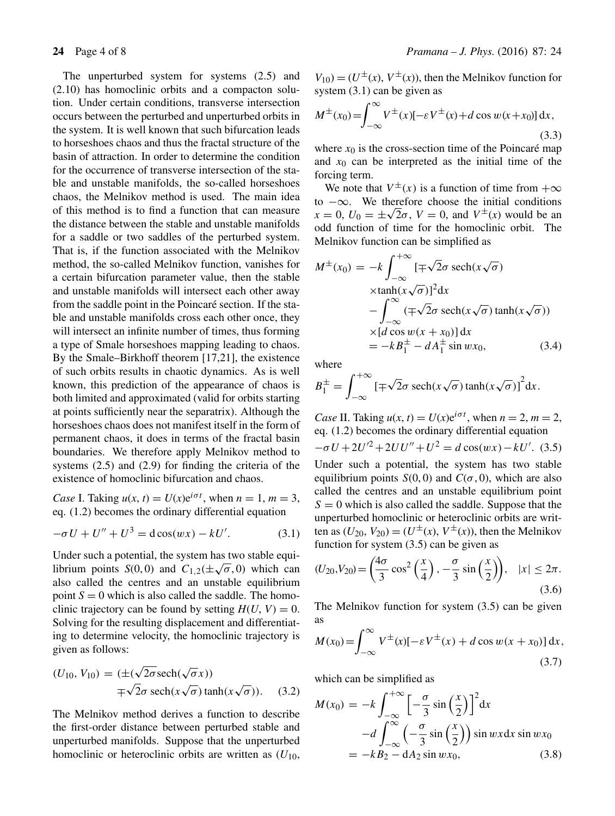The unperturbed system for systems (2.5) and (2.10) has homoclinic orbits and a compacton solution. Under certain conditions, transverse intersection occurs between the perturbed and unperturbed orbits in the system. It is well known that such bifurcation leads to horseshoes chaos and thus the fractal structure of the basin of attraction. In order to determine the condition for the occurrence of transverse intersection of the stable and unstable manifolds, the so-called horseshoes chaos, the Melnikov method is used. The main idea of this method is to find a function that can measure the distance between the stable and unstable manifolds for a saddle or two saddles of the perturbed system. That is, if the function associated with the Melnikov method, the so-called Melnikov function, vanishes for a certain bifurcation parameter value, then the stable and unstable manifolds will intersect each other away from the saddle point in the Poincaré section. If the stable and unstable manifolds cross each other once, they will intersect an infinite number of times, thus forming a type of Smale horseshoes mapping leading to chaos. By the Smale–Birkhoff theorem [17,21], the existence of such orbits results in chaotic dynamics. As is well known, this prediction of the appearance of chaos is both limited and approximated (valid for orbits starting at points sufficiently near the separatrix). Although the horseshoes chaos does not manifest itself in the form of permanent chaos, it does in terms of the fractal basin boundaries. We therefore apply Melnikov method to systems (2.5) and (2.9) for finding the criteria of the existence of homoclinic bifurcation and chaos.

*Case* I. Taking  $u(x, t) = U(x)e^{i\sigma t}$ , when  $n = 1, m = 3$ , eq. (1.2) becomes the ordinary differential equation

$$
-\sigma U + U'' + U^3 = d\cos(wx) - kU'.
$$
 (3.1)

Under such a potential, the system has two stable equilibrium points *S*(0,0) and  $C_{1,2}(\pm\sqrt{\sigma},0)$  which can also called the centres and an unstable equilibrium point  $S = 0$  which is also called the saddle. The homoclinic trajectory can be found by setting  $H(U, V) = 0$ . Solving for the resulting displacement and differentiating to determine velocity, the homoclinic trajectory is given as follows:

$$
(U_{10}, V_{10}) = (\pm(\sqrt{2\sigma} \operatorname{sech}(\sqrt{\sigma} x))
$$
  
 
$$
\mp\sqrt{2}\sigma \operatorname{sech}(x\sqrt{\sigma}) \tanh(x\sqrt{\sigma})). \quad (3.2)
$$

The Melnikov method derives a function to describe the first-order distance between perturbed stable and unperturbed manifolds. Suppose that the unperturbed homoclinic or heteroclinic orbits are written as  $(U_{10},$ 

 $V_{10}$  = ( $U^{\pm}(x)$ ,  $V^{\pm}(x)$ ), then the Melnikov function for system (3.1) can be given as

$$
M^{\pm}(x_0) = \int_{-\infty}^{\infty} V^{\pm}(x) \left[ -\varepsilon V^{\pm}(x) + d \cos w(x + x_0) \right] dx,
$$
\n(3.3)

where  $x_0$  is the cross-section time of the Poincaré map and  $x_0$  can be interpreted as the initial time of the forcing term.

We note that  $V^{\pm}(x)$  is a function of time from  $+\infty$ to  $-\infty$ . We therefore choose the initial conditions  $x = 0$ ,  $U_0 = \pm \sqrt{2}\sigma$ ,  $V = 0$ , and  $V^{\pm}(x)$  would be an odd function of time for the homoclinic orbit. The Melnikov function can be simplified as

$$
M^{\pm}(x_0) = -k \int_{-\infty}^{+\infty} [\mp \sqrt{2}\sigma \operatorname{sech}(x\sqrt{\sigma})
$$
  
 
$$
\times \tanh(x\sqrt{\sigma})]^2 dx
$$
  
 
$$
- \int_{-\infty}^{\infty} (\mp \sqrt{2}\sigma \operatorname{sech}(x\sqrt{\sigma}) \tanh(x\sqrt{\sigma}))
$$
  
 
$$
\times [d \cos w(x + x_0)] dx
$$
  
 
$$
= -kB_1^{\pm} - dA_1^{\pm} \sin wx_0, \qquad (3.4)
$$

where

$$
B_1^{\pm} = \int_{-\infty}^{+\infty} \left[ \mp \sqrt{2}\sigma \operatorname{sech}(x\sqrt{\sigma}) \tanh(x\sqrt{\sigma}) \right]^2 dx.
$$

*Case* II. Taking  $u(x, t) = U(x)e^{i\sigma t}$ , when  $n = 2$ ,  $m = 2$ , eq. (1.2) becomes the ordinary differential equation  $-\sigma U + 2U'^2 + 2UU'' + U^2 = d\cos(wx) - kU'$ . (3.5) Under such a potential, the system has two stable equilibrium points  $S(0, 0)$  and  $C(\sigma, 0)$ , which are also called the centres and an unstable equilibrium point  $S = 0$  which is also called the saddle. Suppose that the unperturbed homoclinic or heteroclinic orbits are written as  $(U_{20}, V_{20}) = (U^{\pm}(x), V^{\pm}(x))$ , then the Melnikov function for system (3.5) can be given as

$$
(U_{20}, V_{20}) = \left(\frac{4\sigma}{3}\cos^2\left(\frac{x}{4}\right), -\frac{\sigma}{3}\sin\left(\frac{x}{2}\right)\right), \quad |x| \le 2\pi.
$$
\n
$$
(3.6)
$$

The Melnikov function for system (3.5) can be given as

$$
M(x_0) = \int_{-\infty}^{\infty} V^{\pm}(x) \left[ -\varepsilon V^{\pm}(x) + d \cos w(x + x_0) \right] dx,
$$
\n(3.7)

which can be simplified as

$$
M(x_0) = -k \int_{-\infty}^{+\infty} \left[ -\frac{\sigma}{3} \sin\left(\frac{x}{2}\right) \right]^2 dx
$$
  

$$
-d \int_{-\infty}^{\infty} \left( -\frac{\sigma}{3} \sin\left(\frac{x}{2}\right) \right) \sin wx dx \sin wx_0
$$
  

$$
= -kB_2 - dA_2 \sin wx_0, \qquad (3.8)
$$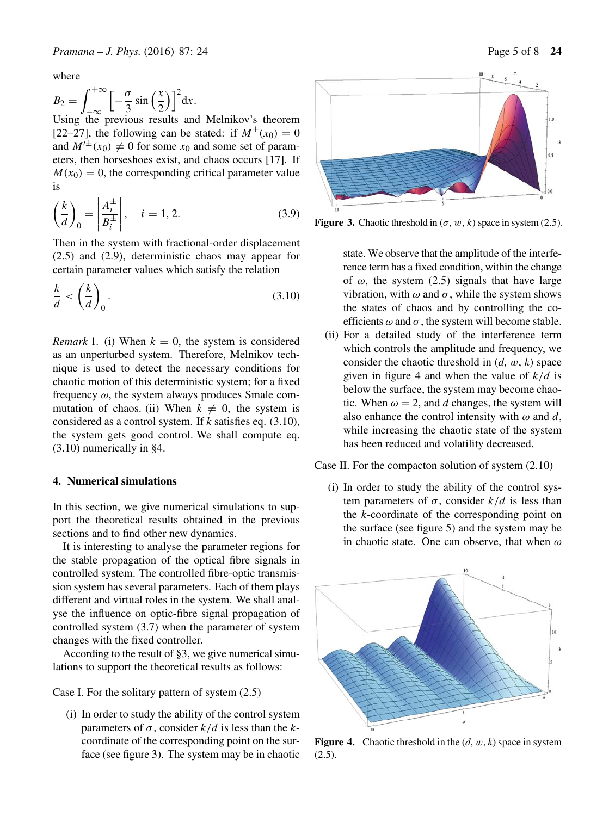where

$$
B_2 = \int_{-\infty}^{+\infty} \left[ -\frac{\sigma}{3} \sin\left(\frac{x}{2}\right) \right]^2 dx.
$$

Using the previous results and Melnikov's theorem [22–27], the following can be stated: if  $M^{\pm}(x_0) = 0$ and  $M'^{\pm}(x_0) \neq 0$  for some  $x_0$  and some set of parameters, then horseshoes exist, and chaos occurs [17]. If  $M(x_0) = 0$ , the corresponding critical parameter value is

$$
\left(\frac{k}{d}\right)_0 = \left|\frac{A_i^{\pm}}{B_i^{\pm}}\right|, \quad i = 1, 2. \tag{3.9}
$$

Then in the system with fractional-order displacement (2.5) and (2.9), deterministic chaos may appear for certain parameter values which satisfy the relation

$$
\frac{k}{d} < \left(\frac{k}{d}\right)_0. \tag{3.10}
$$

*Remark* 1. (i) When  $k = 0$ , the system is considered as an unperturbed system. Therefore, Melnikov technique is used to detect the necessary conditions for chaotic motion of this deterministic system; for a fixed frequency  $\omega$ , the system always produces Smale commutation of chaos. (ii) When  $k \neq 0$ , the system is considered as a control system. If *k* satisfies eq. (3.10), the system gets good control. We shall compute eq. (3.10) numerically in §4.

#### **4. Numerical simulations**

In this section, we give numerical simulations to support the theoretical results obtained in the previous sections and to find other new dynamics.

It is interesting to analyse the parameter regions for the stable propagation of the optical fibre signals in controlled system. The controlled fibre-optic transmission system has several parameters. Each of them plays different and virtual roles in the system. We shall analyse the influence on optic-fibre signal propagation of controlled system (3.7) when the parameter of system changes with the fixed controller.

According to the result of §3, we give numerical simulations to support the theoretical results as follows:

Case I. For the solitary pattern of system (2.5)

(i) In order to study the ability of the control system parameters of  $\sigma$ , consider  $k/d$  is less than the kcoordinate of the corresponding point on the surface (see figure 3). The system may be in chaotic





state. We observe that the amplitude of the interference term has a fixed condition, within the change of  $\omega$ , the system (2.5) signals that have large vibration, with  $\omega$  and  $\sigma$ , while the system shows the states of chaos and by controlling the coefficients  $\omega$  and  $\sigma$ , the system will become stable.

(ii) For a detailed study of the interference term which controls the amplitude and frequency, we consider the chaotic threshold in (*d*, w, *k*) space given in figure 4 and when the value of  $k/d$  is below the surface, the system may become chaotic. When  $\omega = 2$ , and *d* changes, the system will also enhance the control intensity with  $\omega$  and d, while increasing the chaotic state of the system has been reduced and volatility decreased.

Case II. For the compacton solution of system (2.10)

(i) In order to study the ability of the control system parameters of  $\sigma$ , consider  $k/d$  is less than the k-coordinate of the corresponding point on the surface (see figure 5) and the system may be in chaotic state. One can observe, that when  $\omega$ 



**Figure 4.** Chaotic threshold in the (*d*, w, *k*) space in system  $(2.5).$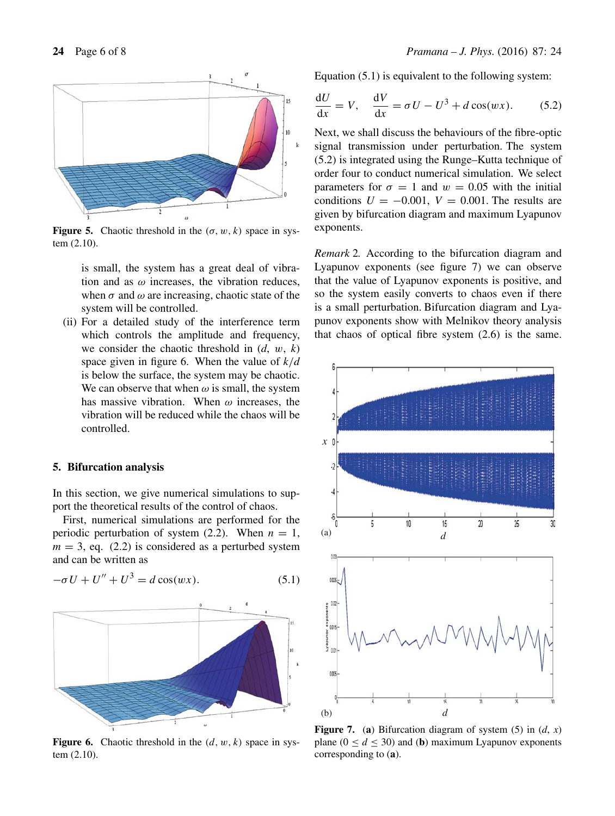

**Figure 5.** Chaotic threshold in the  $(\sigma, w, k)$  space in system (2.10).

is small, the system has a great deal of vibration and as  $\omega$  increases, the vibration reduces, when  $\sigma$  and  $\omega$  are increasing, chaotic state of the system will be controlled.

(ii) For a detailed study of the interference term which controls the amplitude and frequency, we consider the chaotic threshold in  $(d, w, k)$ space given in figure 6. When the value of *k*/*d* is below the surface, the system may be chaotic. We can observe that when  $\omega$  is small, the system has massive vibration. When  $\omega$  increases, the vibration will be reduced while the chaos will be controlled.

#### **5. Bifurcation analysis**

In this section, we give numerical simulations to support the theoretical results of the control of chaos.

First, numerical simulations are performed for the periodic perturbation of system  $(2.2)$ . When  $n = 1$ ,  $m = 3$ , eq. (2.2) is considered as a perturbed system and can be written as

$$
-\sigma U + U'' + U^3 = d\cos(wx). \tag{5.1}
$$



**Figure 6.** Chaotic threshold in the  $(d, w, k)$  space in system (2.10).

Equation (5.1) is equivalent to the following system:

$$
\frac{dU}{dx} = V, \quad \frac{dV}{dx} = \sigma U - U^3 + d\cos(wx). \tag{5.2}
$$

Next, we shall discuss the behaviours of the fibre-optic signal transmission under perturbation. The system (5.2) is integrated using the Runge–Kutta technique of order four to conduct numerical simulation. We select parameters for  $\sigma = 1$  and  $w = 0.05$  with the initial conditions  $U = -0.001$ ,  $V = 0.001$ . The results are given by bifurcation diagram and maximum Lyapunov exponents.

*Remark* 2*.* According to the bifurcation diagram and Lyapunov exponents (see figure 7) we can observe that the value of Lyapunov exponents is positive, and so the system easily converts to chaos even if there is a small perturbation. Bifurcation diagram and Lyapunov exponents show with Melnikov theory analysis that chaos of optical fibre system (2.6) is the same.



**Figure 7.** (**a**) Bifurcation diagram of system (5) in (*d*, *x*) plane ( $0 \le d \le 30$ ) and (**b**) maximum Lyapunov exponents corresponding to (**a**).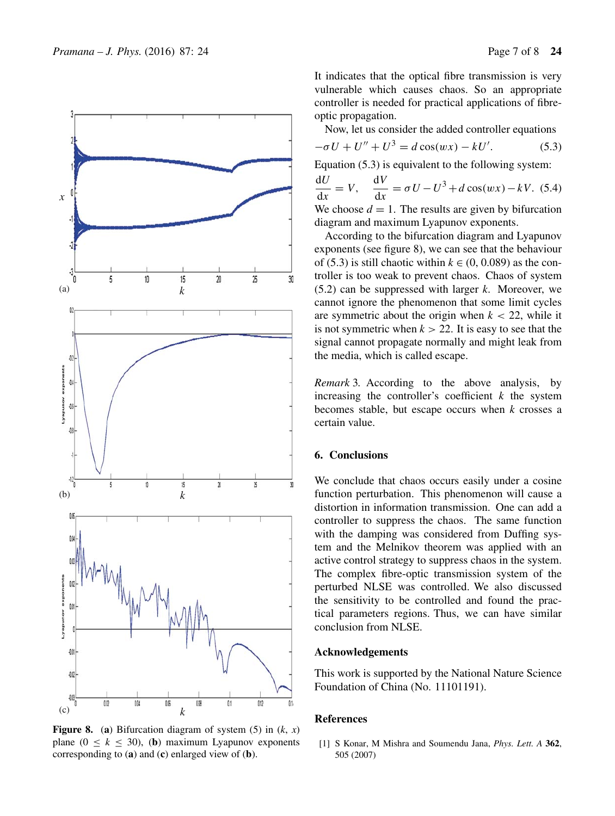

**Figure 8.** (a) Bifurcation diagram of system (5) in  $(k, x)$ plane  $(0 \le k \le 30)$ , (**b**) maximum Lyapunov exponents corresponding to (**a**) and (**c**) enlarged view of (**b**).

It indicates that the optical fibre transmission is very vulnerable which causes chaos. So an appropriate controller is needed for practical applications of fibreoptic propagation.

Now, let us consider the added controller equations

$$
-\sigma U + U'' + U^3 = d\cos(wx) - kU'.\tag{5.3}
$$

Equation (5.3) is equivalent to the following system:

 $\frac{dU}{dx} = V$ ,  $\frac{dV}{dx} = \sigma U - U^3 + d \cos(wx) - kV$ . (5.4) We choose  $d = 1$ . The results are given by bifurcation diagram and maximum Lyapunov exponents.

According to the bifurcation diagram and Lyapunov exponents (see figure 8), we can see that the behaviour of (5.3) is still chaotic within  $k \in (0, 0.089)$  as the controller is too weak to prevent chaos. Chaos of system (5.2) can be suppressed with larger *k*. Moreover, we cannot ignore the phenomenon that some limit cycles are symmetric about the origin when  $k < 22$ , while it is not symmetric when  $k > 22$ . It is easy to see that the signal cannot propagate normally and might leak from the media, which is called escape.

*Remark* 3*.* According to the above analysis, by increasing the controller's coefficient  $k$  the system becomes stable, but escape occurs when *k* crosses a certain value.

# **6. Conclusions**

We conclude that chaos occurs easily under a cosine function perturbation. This phenomenon will cause a distortion in information transmission. One can add a controller to suppress the chaos. The same function with the damping was considered from Duffing system and the Melnikov theorem was applied with an active control strategy to suppress chaos in the system. The complex fibre-optic transmission system of the perturbed NLSE was controlled. We also discussed the sensitivity to be controlled and found the practical parameters regions. Thus, we can have similar conclusion from NLSE.

#### **Acknowledgements**

This work is supported by the National Nature Science Foundation of China (No. 11101191).

# **References**

[1] S Konar, M Mishra and Soumendu Jana, *Phys. Lett. A* **362**, 505 (2007)